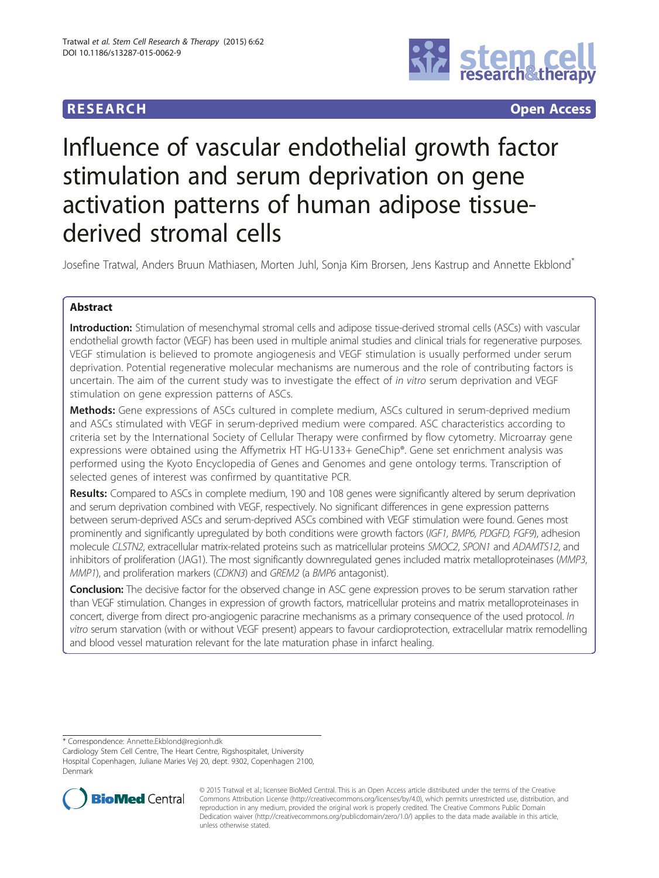# **RESEARCH RESEARCH** *CHECKER CHECKER CHECKER CHECKER CHECKER CHECKER CHECKER CHECKER CHECKER CHECKER CHECKER*



# Influence of vascular endothelial growth factor stimulation and serum deprivation on gene activation patterns of human adipose tissuederived stromal cells

Josefine Tratwal, Anders Bruun Mathiasen, Morten Juhl, Sonja Kim Brorsen, Jens Kastrup and Annette Ekblond\*

# Abstract

Introduction: Stimulation of mesenchymal stromal cells and adipose tissue-derived stromal cells (ASCs) with vascular endothelial growth factor (VEGF) has been used in multiple animal studies and clinical trials for regenerative purposes. VEGF stimulation is believed to promote angiogenesis and VEGF stimulation is usually performed under serum deprivation. Potential regenerative molecular mechanisms are numerous and the role of contributing factors is uncertain. The aim of the current study was to investigate the effect of in vitro serum deprivation and VEGF stimulation on gene expression patterns of ASCs.

Methods: Gene expressions of ASCs cultured in complete medium, ASCs cultured in serum-deprived medium and ASCs stimulated with VEGF in serum-deprived medium were compared. ASC characteristics according to criteria set by the International Society of Cellular Therapy were confirmed by flow cytometry. Microarray gene expressions were obtained using the Affymetrix HT HG-U133+ GeneChip®. Gene set enrichment analysis was performed using the Kyoto Encyclopedia of Genes and Genomes and gene ontology terms. Transcription of selected genes of interest was confirmed by quantitative PCR.

Results: Compared to ASCs in complete medium, 190 and 108 genes were significantly altered by serum deprivation and serum deprivation combined with VEGF, respectively. No significant differences in gene expression patterns between serum-deprived ASCs and serum-deprived ASCs combined with VEGF stimulation were found. Genes most prominently and significantly upregulated by both conditions were growth factors (IGF1, BMP6, PDGFD, FGF9), adhesion molecule CLSTN2, extracellular matrix-related proteins such as matricellular proteins SMOC2, SPON1 and ADAMTS12, and inhibitors of proliferation (JAG1). The most significantly downregulated genes included matrix metalloproteinases (MMP3, MMP1), and proliferation markers (CDKN3) and GREM2 (a BMP6 antagonist).

**Conclusion:** The decisive factor for the observed change in ASC gene expression proves to be serum starvation rather than VEGF stimulation. Changes in expression of growth factors, matricellular proteins and matrix metalloproteinases in concert, diverge from direct pro-angiogenic paracrine mechanisms as a primary consequence of the used protocol. In vitro serum starvation (with or without VEGF present) appears to favour cardioprotection, extracellular matrix remodelling and blood vessel maturation relevant for the late maturation phase in infarct healing.

\* Correspondence: [Annette.Ekblond@regionh.dk](mailto:Annette.Ekblond@regionh.dk)

Cardiology Stem Cell Centre, The Heart Centre, Rigshospitalet, University Hospital Copenhagen, Juliane Maries Vej 20, dept. 9302, Copenhagen 2100, Denmark



© 2015 Tratwal et al.; licensee BioMed Central. This is an Open Access article distributed under the terms of the Creative Commons Attribution License [\(http://creativecommons.org/licenses/by/4.0\)](http://creativecommons.org/licenses/by/4.0), which permits unrestricted use, distribution, and reproduction in any medium, provided the original work is properly credited. The Creative Commons Public Domain Dedication waiver [\(http://creativecommons.org/publicdomain/zero/1.0/](http://creativecommons.org/publicdomain/zero/1.0/)) applies to the data made available in this article, unless otherwise stated.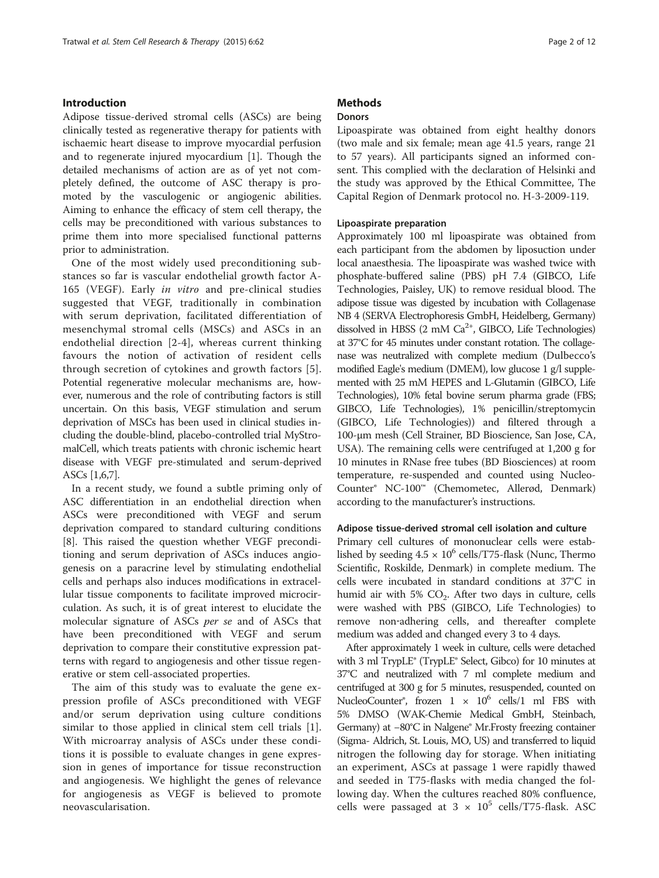# Introduction

Adipose tissue-derived stromal cells (ASCs) are being clinically tested as regenerative therapy for patients with ischaemic heart disease to improve myocardial perfusion and to regenerate injured myocardium [[1\]](#page-10-0). Though the detailed mechanisms of action are as of yet not completely defined, the outcome of ASC therapy is promoted by the vasculogenic or angiogenic abilities. Aiming to enhance the efficacy of stem cell therapy, the cells may be preconditioned with various substances to prime them into more specialised functional patterns prior to administration.

One of the most widely used preconditioning substances so far is vascular endothelial growth factor A-165 (VEGF). Early in vitro and pre-clinical studies suggested that VEGF, traditionally in combination with serum deprivation, facilitated differentiation of mesenchymal stromal cells (MSCs) and ASCs in an endothelial direction [\[2](#page-10-0)-[4](#page-10-0)], whereas current thinking favours the notion of activation of resident cells through secretion of cytokines and growth factors [[5](#page-10-0)]. Potential regenerative molecular mechanisms are, however, numerous and the role of contributing factors is still uncertain. On this basis, VEGF stimulation and serum deprivation of MSCs has been used in clinical studies including the double-blind, placebo-controlled trial MyStromalCell, which treats patients with chronic ischemic heart disease with VEGF pre-stimulated and serum-deprived ASCs [[1,6,7](#page-10-0)].

In a recent study, we found a subtle priming only of ASC differentiation in an endothelial direction when ASCs were preconditioned with VEGF and serum deprivation compared to standard culturing conditions [[8\]](#page-10-0). This raised the question whether VEGF preconditioning and serum deprivation of ASCs induces angiogenesis on a paracrine level by stimulating endothelial cells and perhaps also induces modifications in extracellular tissue components to facilitate improved microcirculation. As such, it is of great interest to elucidate the molecular signature of ASCs per se and of ASCs that have been preconditioned with VEGF and serum deprivation to compare their constitutive expression patterns with regard to angiogenesis and other tissue regenerative or stem cell-associated properties.

The aim of this study was to evaluate the gene expression profile of ASCs preconditioned with VEGF and/or serum deprivation using culture conditions similar to those applied in clinical stem cell trials [\[1](#page-10-0)]. With microarray analysis of ASCs under these conditions it is possible to evaluate changes in gene expression in genes of importance for tissue reconstruction and angiogenesis. We highlight the genes of relevance for angiogenesis as VEGF is believed to promote neovascularisation.

# **Methods**

# Donors

Lipoaspirate was obtained from eight healthy donors (two male and six female; mean age 41.5 years, range 21 to 57 years). All participants signed an informed consent. This complied with the declaration of Helsinki and the study was approved by the Ethical Committee, The Capital Region of Denmark protocol no. H-3-2009-119.

# Lipoaspirate preparation

Approximately 100 ml lipoaspirate was obtained from each participant from the abdomen by liposuction under local anaesthesia. The lipoaspirate was washed twice with phosphate-buffered saline (PBS) pH 7.4 (GIBCO, Life Technologies, Paisley, UK) to remove residual blood. The adipose tissue was digested by incubation with Collagenase NB 4 (SERVA Electrophoresis GmbH, Heidelberg, Germany) dissolved in HBSS (2 mM  $Ca<sup>2+</sup>$ , GIBCO, Life Technologies) at 37°C for 45 minutes under constant rotation. The collagenase was neutralized with complete medium (Dulbecco's modified Eagle's medium (DMEM), low glucose 1 g/l supplemented with 25 mM HEPES and L-Glutamin (GIBCO, Life Technologies), 10% fetal bovine serum pharma grade (FBS; GIBCO, Life Technologies), 1% penicillin/streptomycin (GIBCO, Life Technologies)) and filtered through a 100-μm mesh (Cell Strainer, BD Bioscience, San Jose, CA, USA). The remaining cells were centrifuged at 1,200 g for 10 minutes in RNase free tubes (BD Biosciences) at room temperature, re-suspended and counted using Nucleo-Counter® NC-100™ (Chemometec, Allerød, Denmark) according to the manufacturer's instructions.

# Adipose tissue-derived stromal cell isolation and culture

Primary cell cultures of mononuclear cells were established by seeding  $4.5 \times 10^6$  cells/T75-flask (Nunc, Thermo Scientific, Roskilde, Denmark) in complete medium. The cells were incubated in standard conditions at 37°C in humid air with 5%  $CO<sub>2</sub>$ . After two days in culture, cells were washed with PBS (GIBCO, Life Technologies) to remove non-adhering cells, and thereafter complete medium was added and changed every 3 to 4 days.

After approximately 1 week in culture, cells were detached with 3 ml TrypLE<sup>®</sup> (TrypLE<sup>®</sup> Select, Gibco) for 10 minutes at 37°C and neutralized with 7 ml complete medium and centrifuged at 300 g for 5 minutes, resuspended, counted on NucleoCounter<sup>®</sup>, frozen  $1 \times 10^6$  cells/1 ml FBS with 5% DMSO (WAK-Chemie Medical GmbH, Steinbach, Germany) at −80°C in Nalgene® Mr.Frosty freezing container (Sigma- Aldrich, St. Louis, MO, US) and transferred to liquid nitrogen the following day for storage. When initiating an experiment, ASCs at passage 1 were rapidly thawed and seeded in T75-flasks with media changed the following day. When the cultures reached 80% confluence, cells were passaged at  $3 \times 10^5$  cells/T75-flask. ASC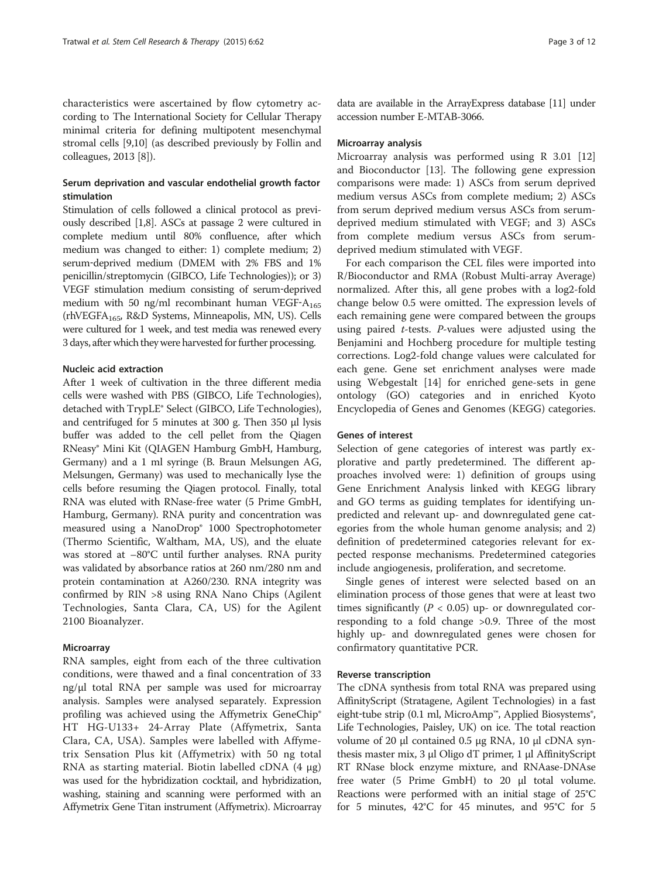characteristics were ascertained by flow cytometry according to The International Society for Cellular Therapy minimal criteria for defining multipotent mesenchymal stromal cells [\[9,10\]](#page-10-0) (as described previously by Follin and colleagues, 2013 [\[8](#page-10-0)]).

# Serum deprivation and vascular endothelial growth factor stimulation

Stimulation of cells followed a clinical protocol as previously described [\[1,8](#page-10-0)]. ASCs at passage 2 were cultured in complete medium until 80% confluence, after which medium was changed to either: 1) complete medium; 2) serum-deprived medium (DMEM with 2% FBS and 1% penicillin/streptomycin (GIBCO, Life Technologies)); or 3) VEGF stimulation medium consisting of serum‐deprived medium with 50 ng/ml recombinant human VEGF- $A_{165}$ (rhVEGFA165, R&D Systems, Minneapolis, MN, US). Cells were cultured for 1 week, and test media was renewed every 3 days, after which they were harvested for further processing.

# Nucleic acid extraction

After 1 week of cultivation in the three different media cells were washed with PBS (GIBCO, Life Technologies), detached with TrypLE® Select (GIBCO, Life Technologies), and centrifuged for 5 minutes at 300 g. Then 350 μl lysis buffer was added to the cell pellet from the Qiagen RNeasy® Mini Kit (QIAGEN Hamburg GmbH, Hamburg, Germany) and a 1 ml syringe (B. Braun Melsungen AG, Melsungen, Germany) was used to mechanically lyse the cells before resuming the Qiagen protocol. Finally, total RNA was eluted with RNase-free water (5 Prime GmbH, Hamburg, Germany). RNA purity and concentration was measured using a NanoDrop® 1000 Spectrophotometer (Thermo Scientific, Waltham, MA, US), and the eluate was stored at –80°C until further analyses. RNA purity was validated by absorbance ratios at 260 nm/280 nm and protein contamination at A260/230. RNA integrity was confirmed by RIN >8 using RNA Nano Chips (Agilent Technologies, Santa Clara, CA, US) for the Agilent 2100 Bioanalyzer.

## Microarray

RNA samples, eight from each of the three cultivation conditions, were thawed and a final concentration of 33 ng/μl total RNA per sample was used for microarray analysis. Samples were analysed separately. Expression profiling was achieved using the Affymetrix GeneChip® HT HG-U133+ 24-Array Plate (Affymetrix, Santa Clara, CA, USA). Samples were labelled with Affymetrix Sensation Plus kit (Affymetrix) with 50 ng total RNA as starting material. Biotin labelled cDNA (4 μg) was used for the hybridization cocktail, and hybridization, washing, staining and scanning were performed with an Affymetrix Gene Titan instrument (Affymetrix). Microarray data are available in the ArrayExpress database [\[11\]](#page-10-0) under accession number E-MTAB-3066.

# Microarray analysis

Microarray analysis was performed using R 3.01 [[12](#page-10-0)] and Bioconductor [[13\]](#page-10-0). The following gene expression comparisons were made: 1) ASCs from serum deprived medium versus ASCs from complete medium; 2) ASCs from serum deprived medium versus ASCs from serumdeprived medium stimulated with VEGF; and 3) ASCs from complete medium versus ASCs from serumdeprived medium stimulated with VEGF.

For each comparison the CEL files were imported into R/Bioconductor and RMA (Robust Multi-array Average) normalized. After this, all gene probes with a log2-fold change below 0.5 were omitted. The expression levels of each remaining gene were compared between the groups using paired  $t$ -tests.  $P$ -values were adjusted using the Benjamini and Hochberg procedure for multiple testing corrections. Log2-fold change values were calculated for each gene. Gene set enrichment analyses were made using Webgestalt [\[14](#page-10-0)] for enriched gene-sets in gene ontology (GO) categories and in enriched Kyoto Encyclopedia of Genes and Genomes (KEGG) categories.

# Genes of interest

Selection of gene categories of interest was partly explorative and partly predetermined. The different approaches involved were: 1) definition of groups using Gene Enrichment Analysis linked with KEGG library and GO terms as guiding templates for identifying unpredicted and relevant up- and downregulated gene categories from the whole human genome analysis; and 2) definition of predetermined categories relevant for expected response mechanisms. Predetermined categories include angiogenesis, proliferation, and secretome.

Single genes of interest were selected based on an elimination process of those genes that were at least two times significantly ( $P < 0.05$ ) up- or downregulated corresponding to a fold change >0.9. Three of the most highly up- and downregulated genes were chosen for confirmatory quantitative PCR.

## Reverse transcription

The cDNA synthesis from total RNA was prepared using AffinityScript (Stratagene, Agilent Technologies) in a fast eight-tube strip (0.1 ml, MicroAmp™, Applied Biosystems®, Life Technologies, Paisley, UK) on ice. The total reaction volume of 20 μl contained 0.5 μg RNA, 10 μl cDNA synthesis master mix, 3 μl Oligo dT primer, 1 μl AffinityScript RT RNase block enzyme mixture, and RNAase-DNAse free water (5 Prime GmbH) to 20 μl total volume. Reactions were performed with an initial stage of 25°C for 5 minutes, 42°C for 45 minutes, and 95°C for 5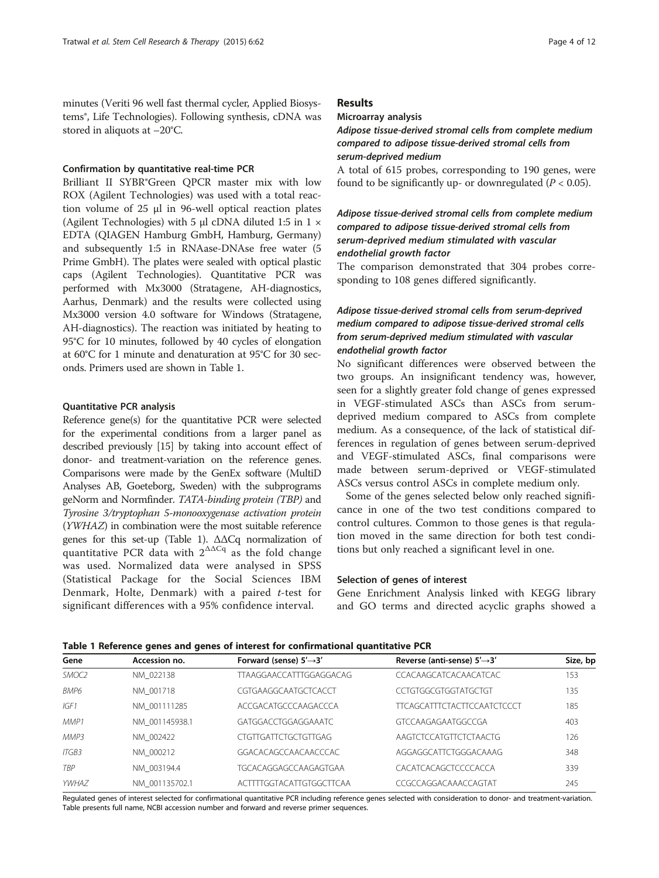minutes (Veriti 96 well fast thermal cycler, Applied Biosystems®, Life Technologies). Following synthesis, cDNA was stored in aliquots at –20°C.

## Confirmation by quantitative real-time PCR

Brilliant II SYBR®Green QPCR master mix with low ROX (Agilent Technologies) was used with a total reaction volume of 25 μl in 96-well optical reaction plates (Agilent Technologies) with 5  $\mu$ l cDNA diluted 1:5 in 1  $\times$ EDTA (QIAGEN Hamburg GmbH, Hamburg, Germany) and subsequently 1:5 in RNAase-DNAse free water (5 Prime GmbH). The plates were sealed with optical plastic caps (Agilent Technologies). Quantitative PCR was performed with Mx3000 (Stratagene, AH-diagnostics, Aarhus, Denmark) and the results were collected using Mx3000 version 4.0 software for Windows (Stratagene, AH-diagnostics). The reaction was initiated by heating to 95°C for 10 minutes, followed by 40 cycles of elongation at 60°C for 1 minute and denaturation at 95°C for 30 seconds. Primers used are shown in Table 1.

## Quantitative PCR analysis

Reference gene(s) for the quantitative PCR were selected for the experimental conditions from a larger panel as described previously [[15](#page-10-0)] by taking into account effect of donor- and treatment-variation on the reference genes. Comparisons were made by the GenEx software (MultiD Analyses AB, Goeteborg, Sweden) with the subprograms geNorm and Normfinder. TATA-binding protein (TBP) and Tyrosine 3/tryptophan 5-monooxygenase activation protein (YWHAZ) in combination were the most suitable reference genes for this set-up (Table 1). ΔΔCq normalization of quantitative PCR data with  $2^{\Delta\Delta Cq}$  as the fold change was used. Normalized data were analysed in SPSS (Statistical Package for the Social Sciences IBM Denmark, Holte, Denmark) with a paired  $t$ -test for significant differences with a 95% confidence interval.

# Results

Microarray analysis

# Adipose tissue-derived stromal cells from complete medium compared to adipose tissue-derived stromal cells from serum-deprived medium

A total of 615 probes, corresponding to 190 genes, were found to be significantly up- or downregulated ( $P < 0.05$ ).

# Adipose tissue-derived stromal cells from complete medium compared to adipose tissue-derived stromal cells from serum-deprived medium stimulated with vascular endothelial growth factor

The comparison demonstrated that 304 probes corresponding to 108 genes differed significantly.

# Adipose tissue-derived stromal cells from serum-deprived medium compared to adipose tissue-derived stromal cells from serum-deprived medium stimulated with vascular endothelial growth factor

No significant differences were observed between the two groups. An insignificant tendency was, however, seen for a slightly greater fold change of genes expressed in VEGF-stimulated ASCs than ASCs from serumdeprived medium compared to ASCs from complete medium. As a consequence, of the lack of statistical differences in regulation of genes between serum-deprived and VEGF-stimulated ASCs, final comparisons were made between serum-deprived or VEGF-stimulated ASCs versus control ASCs in complete medium only.

Some of the genes selected below only reached significance in one of the two test conditions compared to control cultures. Common to those genes is that regulation moved in the same direction for both test conditions but only reached a significant level in one.

# Selection of genes of interest

Gene Enrichment Analysis linked with KEGG library and GO terms and directed acyclic graphs showed a

|  |  |  |  |  |  |  | Table 1 Reference genes and genes of interest for confirmational quantitative PCR |
|--|--|--|--|--|--|--|-----------------------------------------------------------------------------------|
|--|--|--|--|--|--|--|-----------------------------------------------------------------------------------|

| Accession no.<br>Gene |                | Forward (sense) $5' \rightarrow 3'$ | Reverse (anti-sense) $5' \rightarrow 3'$ | Size, bp |  |
|-----------------------|----------------|-------------------------------------|------------------------------------------|----------|--|
| SMOC <sub>2</sub>     | NM 022138      | TTAAGGAACCATTTGGAGGACAG             | CCACAAGCATCACAACATCAC                    | 153      |  |
| BMP6                  | NM 001718      | CGTGAAGGCAATGCTCACCT                | CCTGTGGCGTGGTATGCTGT                     | 135      |  |
| IGF1                  | NM 001111285   | ACCGACATGCCCAAGACCCA                | <b>TTCAGCATTTCTACTTCCAATCTCCCT</b>       | 185      |  |
| MMP1                  | NM 001145938.1 | GATGGACCTGGAGGAAATC                 | GTCCAAGAGAATGGCCGA                       | 403      |  |
| MMP3                  | NM 002422      | CIGITGATICIGCIGITGAG                | AAGTCTCCATGTTCTCTAACTG                   | 126      |  |
| <b>ITGB3</b>          | NM 000212      | GGACACAGCCAACAACCCAC                | AGGAGGCATTCTGGGACAAAG                    | 348      |  |
| <b>TRP</b>            | NM 003194.4    | TGCACAGGAGCCAAGAGTGAA               | CACATCACAGCTCCCCACCA                     | 339      |  |
| YWHA7                 | NM 001135702.1 | ACTITIGGTACATIGTGGCTTCAA            | CCGCCAGGACAAACCAGTAT                     | 245      |  |

Regulated genes of interest selected for confirmational quantitative PCR including reference genes selected with consideration to donor- and treatment-variation. Table presents full name, NCBI accession number and forward and reverse primer sequences.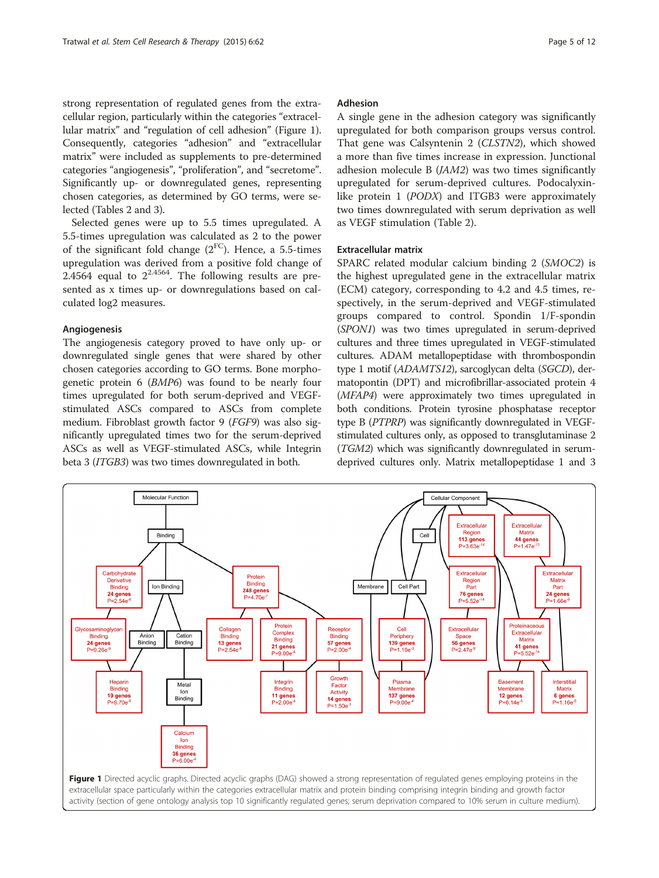strong representation of regulated genes from the extracellular region, particularly within the categories "extracellular matrix" and "regulation of cell adhesion" (Figure 1). Consequently, categories "adhesion" and "extracellular matrix" were included as supplements to pre-determined categories "angiogenesis", "proliferation", and "secretome". Significantly up- or downregulated genes, representing chosen categories, as determined by GO terms, were selected (Tables [2](#page-5-0) and [3\)](#page-6-0).

Selected genes were up to 5.5 times upregulated. A 5.5-times upregulation was calculated as 2 to the power of the significant fold change  $(2^{FC})$ . Hence, a 5.5-times upregulation was derived from a positive fold change of 2.4564 equal to  $2^{2.4564}$ . The following results are presented as x times up- or downregulations based on calculated log2 measures.

# Angiogenesis

The angiogenesis category proved to have only up- or downregulated single genes that were shared by other chosen categories according to GO terms. Bone morphogenetic protein 6 (BMP6) was found to be nearly four times upregulated for both serum-deprived and VEGFstimulated ASCs compared to ASCs from complete medium. Fibroblast growth factor 9 (FGF9) was also significantly upregulated times two for the serum-deprived ASCs as well as VEGF-stimulated ASCs, while Integrin beta 3 (ITGB3) was two times downregulated in both.

## **Adhesion**

A single gene in the adhesion category was significantly upregulated for both comparison groups versus control. That gene was Calsyntenin 2 (CLSTN2), which showed a more than five times increase in expression. Junctional adhesion molecule B (JAM2) was two times significantly upregulated for serum-deprived cultures. Podocalyxinlike protein 1 (PODX) and ITGB3 were approximately two times downregulated with serum deprivation as well as VEGF stimulation (Table [2](#page-5-0)).

# Extracellular matrix

SPARC related modular calcium binding 2 (SMOC2) is the highest upregulated gene in the extracellular matrix (ECM) category, corresponding to 4.2 and 4.5 times, respectively, in the serum-deprived and VEGF-stimulated groups compared to control. Spondin 1/F-spondin (SPON1) was two times upregulated in serum-deprived cultures and three times upregulated in VEGF-stimulated cultures. ADAM metallopeptidase with thrombospondin type 1 motif (ADAMTS12), sarcoglycan delta (SGCD), dermatopontin (DPT) and microfibrillar-associated protein 4 (MFAP4) were approximately two times upregulated in both conditions. Protein tyrosine phosphatase receptor type B (PTPRP) was significantly downregulated in VEGFstimulated cultures only, as opposed to transglutaminase 2 (TGM2) which was significantly downregulated in serumdeprived cultures only. Matrix metallopeptidase 1 and 3

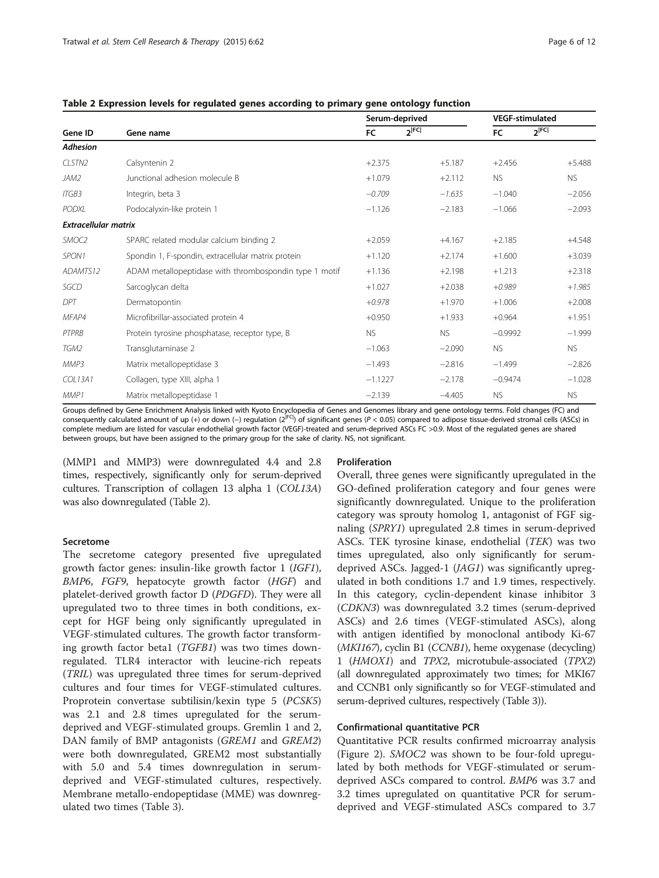|                             |                                                        |           | Serum-deprived | <b>VEGF-stimulated</b> |            |
|-----------------------------|--------------------------------------------------------|-----------|----------------|------------------------|------------|
| Gene ID                     | Gene name                                              | <b>FC</b> | $2^{ FC }$     | FC                     | $2^{ FC }$ |
| <b>Adhesion</b>             |                                                        |           |                |                        |            |
| CLSTN <sub>2</sub>          | Calsyntenin 2                                          | $+2.375$  | $+5.187$       | $+2.456$               | $+5.488$   |
| JAM2                        | Junctional adhesion molecule B                         | $+1.079$  | $+2.112$       | <b>NS</b>              | <b>NS</b>  |
| <b>ITGB3</b>                | Integrin, beta 3                                       | $-0.709$  | $-1.635$       | $-1.040$               | $-2.056$   |
| PODXL                       | Podocalyxin-like protein 1                             | $-1.126$  | $-2.183$       | $-1.066$               | $-2.093$   |
| <b>Extracellular matrix</b> |                                                        |           |                |                        |            |
| SMOC <sub>2</sub>           | SPARC related modular calcium binding 2                | $+2.059$  | $+4.167$       | $+2.185$               | $+4.548$   |
| SPON <sub>1</sub>           | Spondin 1, F-spondin, extracellular matrix protein     | $+1.120$  | $+2.174$       | $+1.600$               | $+3.039$   |
| ADAMTS12                    | ADAM metallopeptidase with thrombospondin type 1 motif | $+1.136$  | $+2.198$       | $+1.213$               | $+2.318$   |
| SGCD                        | Sarcoglycan delta                                      | $+1.027$  | $+2.038$       | $+0.989$               | $+1.985$   |
| DPT                         | Dermatopontin                                          | $+0.978$  | $+1.970$       | $+1.006$               | $+2.008$   |
| MFAP4                       | Microfibrillar-associated protein 4                    | $+0.950$  | $+1.933$       | $+0.964$               | $+1.951$   |
| PTPRB                       | Protein tyrosine phosphatase, receptor type, B         | NS.       | <b>NS</b>      | $-0.9992$              | $-1.999$   |
| TGM2                        | Transglutaminase 2                                     | $-1.063$  | $-2.090$       | <b>NS</b>              | <b>NS</b>  |
| MMP3                        | Matrix metallopeptidase 3                              | $-1.493$  | $-2.816$       | $-1.499$               | $-2.826$   |
| COL13A1                     | Collagen, type XIII, alpha 1                           | $-1.1227$ | $-2.178$       | $-0.9474$              | $-1.028$   |
| MMP1                        | Matrix metallopeptidase 1                              | $-2.139$  | $-4.405$       | <b>NS</b>              | <b>NS</b>  |

<span id="page-5-0"></span>Table 2 Expression levels for regulated genes according to primary gene ontology function

Groups defined by Gene Enrichment Analysis linked with Kyoto Encyclopedia of Genes and Genomes library and gene ontology terms. Fold changes (FC) and<br>consequently calculated amount of up (+) or down (–) regulation (2<sup>|FCI</sup> complete medium are listed for vascular endothelial growth factor (VEGF)-treated and serum-deprived ASCs FC >0.9. Most of the regulated genes are shared between groups, but have been assigned to the primary group for the sake of clarity. NS, not significant.

(MMP1 and MMP3) were downregulated 4.4 and 2.8 times, respectively, significantly only for serum-deprived cultures. Transcription of collagen 13 alpha 1 (COL13A) was also downregulated (Table 2).

# Secretome

The secretome category presented five upregulated growth factor genes: insulin-like growth factor 1 (IGF1), BMP6, FGF9, hepatocyte growth factor (HGF) and platelet-derived growth factor D (PDGFD). They were all upregulated two to three times in both conditions, except for HGF being only significantly upregulated in VEGF-stimulated cultures. The growth factor transforming growth factor beta1 (TGFB1) was two times downregulated. TLR4 interactor with leucine-rich repeats (TRIL) was upregulated three times for serum-deprived cultures and four times for VEGF-stimulated cultures. Proprotein convertase subtilisin/kexin type 5 (PCSK5) was 2.1 and 2.8 times upregulated for the serumdeprived and VEGF-stimulated groups. Gremlin 1 and 2, DAN family of BMP antagonists (GREM1 and GREM2) were both downregulated, GREM2 most substantially with 5.0 and 5.4 times downregulation in serumdeprived and VEGF-stimulated cultures, respectively. Membrane metallo-endopeptidase (MME) was downregulated two times (Table [3\)](#page-6-0).

# Proliferation

Overall, three genes were significantly upregulated in the GO-defined proliferation category and four genes were significantly downregulated. Unique to the proliferation category was sprouty homolog 1, antagonist of FGF signaling (SPRY1) upregulated 2.8 times in serum-deprived ASCs. TEK tyrosine kinase, endothelial (TEK) was two times upregulated, also only significantly for serumdeprived ASCs. Jagged-1 (JAG1) was significantly upregulated in both conditions 1.7 and 1.9 times, respectively. In this category, cyclin-dependent kinase inhibitor 3 (CDKN3) was downregulated 3.2 times (serum-deprived ASCs) and 2.6 times (VEGF-stimulated ASCs), along with antigen identified by monoclonal antibody Ki-67 (MKI167), cyclin B1 (CCNB1), heme oxygenase (decycling) 1 (HMOX1) and TPX2, microtubule-associated (TPX2) (all downregulated approximately two times; for MKI67 and CCNB1 only significantly so for VEGF-stimulated and serum-deprived cultures, respectively (Table [3\)](#page-6-0)).

# Confirmational quantitative PCR

Quantitative PCR results confirmed microarray analysis (Figure [2\)](#page-7-0). SMOC2 was shown to be four-fold upregulated by both methods for VEGF-stimulated or serumdeprived ASCs compared to control. BMP6 was 3.7 and 3.2 times upregulated on quantitative PCR for serumdeprived and VEGF-stimulated ASCs compared to 3.7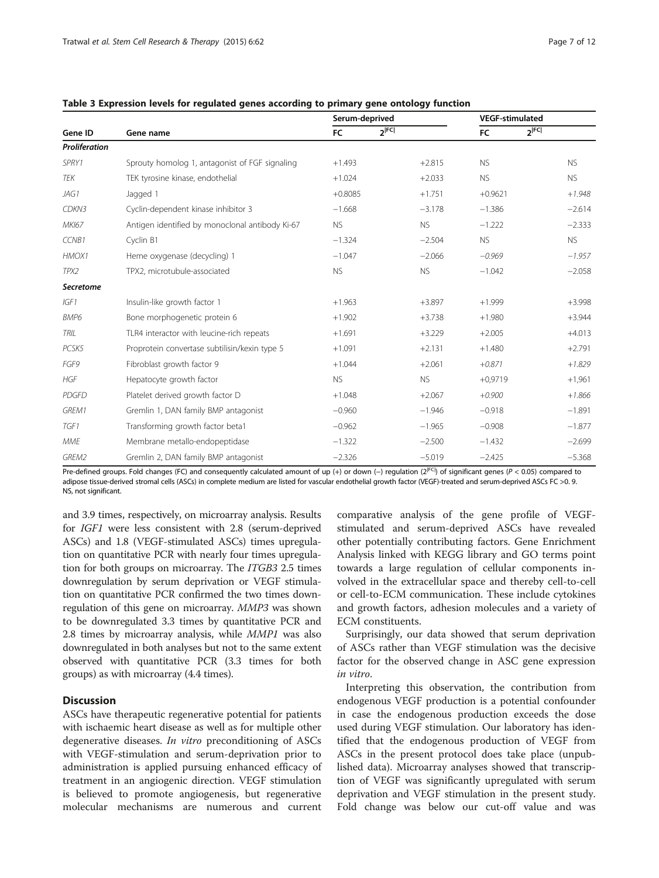|                      |                                                 | Serum-deprived |                 | <b>VEGF-stimulated</b> |            |  |
|----------------------|-------------------------------------------------|----------------|-----------------|------------------------|------------|--|
| Gene ID              | Gene name                                       | <b>FC</b>      | <sub>2</sub> FC | FC                     | $2$ $ FC $ |  |
| <b>Proliferation</b> |                                                 |                |                 |                        |            |  |
| SPRY1                | Sprouty homolog 1, antagonist of FGF signaling  | $+1.493$       | $+2.815$        | NS.                    | <b>NS</b>  |  |
| TEK                  | TEK tyrosine kinase, endothelial                | $+1.024$       | $+2.033$        | <b>NS</b>              | <b>NS</b>  |  |
| JAG1                 | Jagged 1                                        | $+0.8085$      | $+1.751$        | $+0.9621$              | $+1.948$   |  |
| CDKN3                | Cyclin-dependent kinase inhibitor 3             | $-1.668$       | $-3.178$        | $-1.386$               | $-2.614$   |  |
| <b>MKI67</b>         | Antigen identified by monoclonal antibody Ki-67 | <b>NS</b>      | <b>NS</b>       | $-1.222$               | $-2.333$   |  |
| CCNB1                | Cyclin B1                                       | $-1.324$       | $-2.504$        | NS.                    | <b>NS</b>  |  |
| HMOX1                | Heme oxygenase (decycling) 1                    | $-1.047$       | $-2.066$        | $-0.969$               | $-1.957$   |  |
| TPX2                 | TPX2, microtubule-associated                    | <b>NS</b>      | <b>NS</b>       | $-1.042$               | $-2.058$   |  |
| Secretome            |                                                 |                |                 |                        |            |  |
| IGF1                 | Insulin-like growth factor 1                    | $+1.963$       | $+3.897$        | $+1.999$               | $+3.998$   |  |
| BMP6                 | Bone morphogenetic protein 6                    | $+1.902$       | $+3.738$        | $+1.980$               | $+3.944$   |  |
| <b>TRIL</b>          | TLR4 interactor with leucine-rich repeats       | $+1.691$       | $+3.229$        | $+2.005$               | $+4.013$   |  |
| PCSK5                | Proprotein convertase subtilisin/kexin type 5   | $+1.091$       | $+2.131$        | $+1.480$               | $+2.791$   |  |
| FGF9                 | Fibroblast growth factor 9                      | $+1.044$       | $+2.061$        | $+0.871$               | $+1.829$   |  |
| <b>HGF</b>           | Hepatocyte growth factor                        | <b>NS</b>      | <b>NS</b>       | $+0,9719$              | $+1,961$   |  |
| <b>PDGFD</b>         | Platelet derived growth factor D                | $+1.048$       | $+2.067$        | $+0.900$               | $+1.866$   |  |
| GREM1                | Gremlin 1, DAN family BMP antagonist            | $-0.960$       | $-1.946$        | $-0.918$               | $-1.891$   |  |
| TGF1                 | Transforming growth factor beta1                | $-0.962$       | $-1.965$        | $-0.908$               | $-1.877$   |  |
| <b>MME</b>           | Membrane metallo-endopeptidase                  | $-1.322$       | $-2.500$        | $-1.432$               | $-2.699$   |  |
| GREM2                | Gremlin 2, DAN family BMP antagonist            | $-2.326$       | $-5.019$        | $-2.425$               | $-5.368$   |  |

<span id="page-6-0"></span>Table 3 Expression levels for regulated genes according to primary gene ontology function

Pre-defined groups. Fold changes (FC) and consequently calculated amount of up (+) or down (−) regulation (2<sup>|FC|</sup>) of significant genes (P < 0.05) compared to adipose tissue-derived stromal cells (ASCs) in complete medium are listed for vascular endothelial growth factor (VEGF)-treated and serum-deprived ASCs FC >0. 9. NS, not significant.

and 3.9 times, respectively, on microarray analysis. Results for IGF1 were less consistent with 2.8 (serum-deprived ASCs) and 1.8 (VEGF-stimulated ASCs) times upregulation on quantitative PCR with nearly four times upregulation for both groups on microarray. The ITGB3 2.5 times downregulation by serum deprivation or VEGF stimulation on quantitative PCR confirmed the two times downregulation of this gene on microarray. MMP3 was shown to be downregulated 3.3 times by quantitative PCR and 2.8 times by microarray analysis, while MMP1 was also downregulated in both analyses but not to the same extent observed with quantitative PCR (3.3 times for both groups) as with microarray (4.4 times).

# Discussion

ASCs have therapeutic regenerative potential for patients with ischaemic heart disease as well as for multiple other degenerative diseases. In vitro preconditioning of ASCs with VEGF-stimulation and serum-deprivation prior to administration is applied pursuing enhanced efficacy of treatment in an angiogenic direction. VEGF stimulation is believed to promote angiogenesis, but regenerative molecular mechanisms are numerous and current comparative analysis of the gene profile of VEGFstimulated and serum-deprived ASCs have revealed other potentially contributing factors. Gene Enrichment Analysis linked with KEGG library and GO terms point towards a large regulation of cellular components involved in the extracellular space and thereby cell-to-cell or cell-to-ECM communication. These include cytokines and growth factors, adhesion molecules and a variety of ECM constituents.

Surprisingly, our data showed that serum deprivation of ASCs rather than VEGF stimulation was the decisive factor for the observed change in ASC gene expression in vitro.

Interpreting this observation, the contribution from endogenous VEGF production is a potential confounder in case the endogenous production exceeds the dose used during VEGF stimulation. Our laboratory has identified that the endogenous production of VEGF from ASCs in the present protocol does take place (unpublished data). Microarray analyses showed that transcription of VEGF was significantly upregulated with serum deprivation and VEGF stimulation in the present study. Fold change was below our cut-off value and was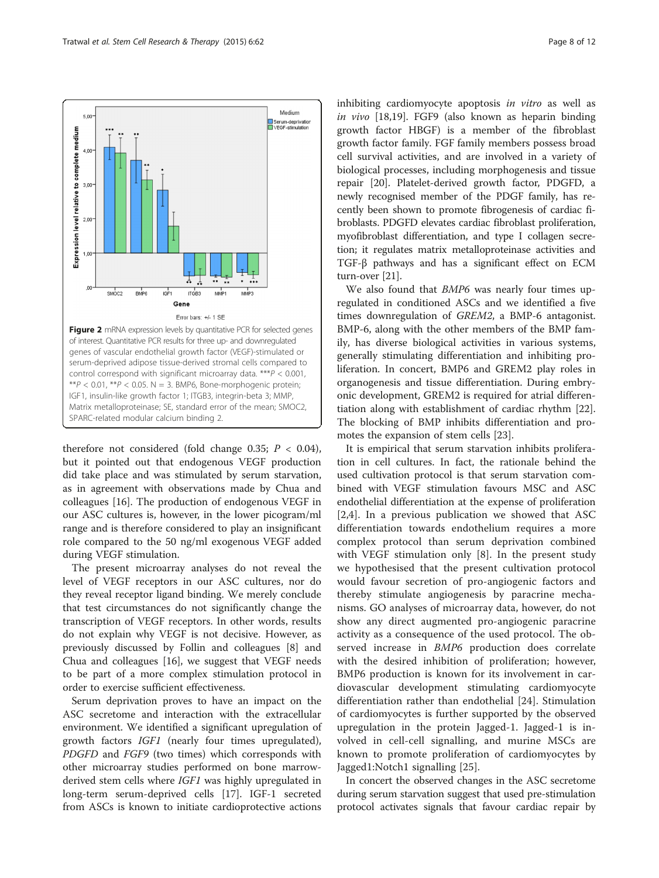<span id="page-7-0"></span>

therefore not considered (fold change 0.35;  $P < 0.04$ ), but it pointed out that endogenous VEGF production did take place and was stimulated by serum starvation, as in agreement with observations made by Chua and colleagues [[16\]](#page-10-0). The production of endogenous VEGF in our ASC cultures is, however, in the lower picogram/ml range and is therefore considered to play an insignificant role compared to the 50 ng/ml exogenous VEGF added during VEGF stimulation.

The present microarray analyses do not reveal the level of VEGF receptors in our ASC cultures, nor do they reveal receptor ligand binding. We merely conclude that test circumstances do not significantly change the transcription of VEGF receptors. In other words, results do not explain why VEGF is not decisive. However, as previously discussed by Follin and colleagues [[8\]](#page-10-0) and Chua and colleagues [\[16](#page-10-0)], we suggest that VEGF needs to be part of a more complex stimulation protocol in order to exercise sufficient effectiveness.

Serum deprivation proves to have an impact on the ASC secretome and interaction with the extracellular environment. We identified a significant upregulation of growth factors IGF1 (nearly four times upregulated), PDGFD and FGF9 (two times) which corresponds with other microarray studies performed on bone marrowderived stem cells where IGF1 was highly upregulated in long-term serum-deprived cells [[17](#page-10-0)]. IGF-1 secreted from ASCs is known to initiate cardioprotective actions inhibiting cardiomyocyte apoptosis in vitro as well as in vivo [\[18,19\]](#page-10-0). FGF9 (also known as heparin binding growth factor HBGF) is a member of the fibroblast growth factor family. FGF family members possess broad cell survival activities, and are involved in a variety of biological processes, including morphogenesis and tissue repair [[20\]](#page-10-0). Platelet-derived growth factor, PDGFD, a newly recognised member of the PDGF family, has recently been shown to promote fibrogenesis of cardiac fibroblasts. PDGFD elevates cardiac fibroblast proliferation, myofibroblast differentiation, and type I collagen secretion; it regulates matrix metalloproteinase activities and TGF-β pathways and has a significant effect on ECM turn-over [\[21](#page-10-0)].

We also found that *BMP6* was nearly four times upregulated in conditioned ASCs and we identified a five times downregulation of GREM2, a BMP-6 antagonist. BMP-6, along with the other members of the BMP family, has diverse biological activities in various systems, generally stimulating differentiation and inhibiting proliferation. In concert, BMP6 and GREM2 play roles in organogenesis and tissue differentiation. During embryonic development, GREM2 is required for atrial differentiation along with establishment of cardiac rhythm [\[22](#page-10-0)]. The blocking of BMP inhibits differentiation and promotes the expansion of stem cells [\[23](#page-10-0)].

It is empirical that serum starvation inhibits proliferation in cell cultures. In fact, the rationale behind the used cultivation protocol is that serum starvation combined with VEGF stimulation favours MSC and ASC endothelial differentiation at the expense of proliferation [[2,4](#page-10-0)]. In a previous publication we showed that ASC differentiation towards endothelium requires a more complex protocol than serum deprivation combined with VEGF stimulation only [\[8](#page-10-0)]. In the present study we hypothesised that the present cultivation protocol would favour secretion of pro-angiogenic factors and thereby stimulate angiogenesis by paracrine mechanisms. GO analyses of microarray data, however, do not show any direct augmented pro-angiogenic paracrine activity as a consequence of the used protocol. The observed increase in BMP6 production does correlate with the desired inhibition of proliferation; however, BMP6 production is known for its involvement in cardiovascular development stimulating cardiomyocyte differentiation rather than endothelial [\[24](#page-10-0)]. Stimulation of cardiomyocytes is further supported by the observed upregulation in the protein Jagged-1. Jagged-1 is involved in cell-cell signalling, and murine MSCs are known to promote proliferation of cardiomyocytes by Jagged1:Notch1 signalling [[25](#page-10-0)].

In concert the observed changes in the ASC secretome during serum starvation suggest that used pre-stimulation protocol activates signals that favour cardiac repair by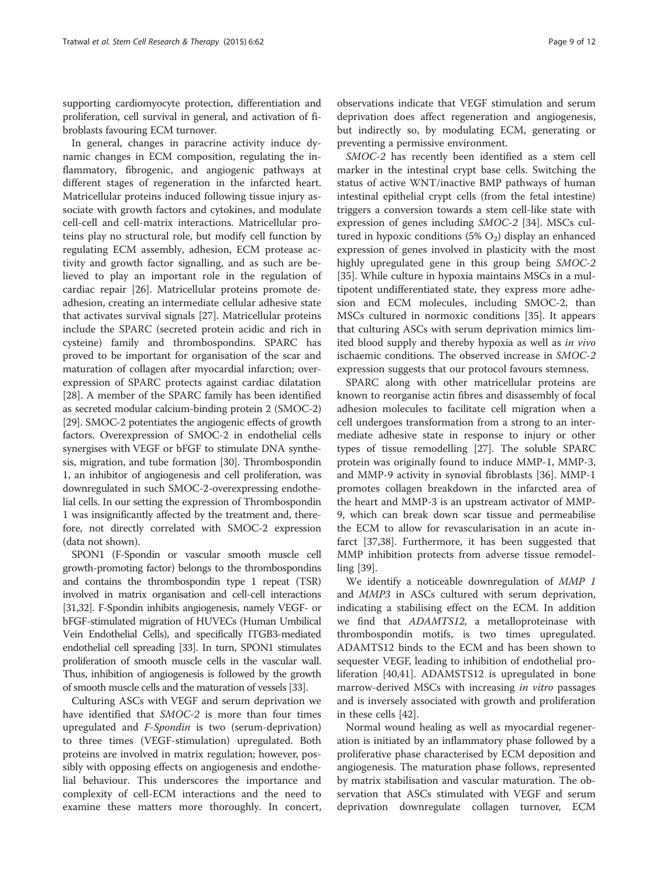supporting cardiomyocyte protection, differentiation and proliferation, cell survival in general, and activation of fibroblasts favouring ECM turnover.

In general, changes in paracrine activity induce dynamic changes in ECM composition, regulating the inflammatory, fibrogenic, and angiogenic pathways at different stages of regeneration in the infarcted heart. Matricellular proteins induced following tissue injury associate with growth factors and cytokines, and modulate cell-cell and cell-matrix interactions. Matricellular proteins play no structural role, but modify cell function by regulating ECM assembly, adhesion, ECM protease activity and growth factor signalling, and as such are believed to play an important role in the regulation of cardiac repair [\[26](#page-10-0)]. Matricellular proteins promote deadhesion, creating an intermediate cellular adhesive state that activates survival signals [[27\]](#page-10-0). Matricellular proteins include the SPARC (secreted protein acidic and rich in cysteine) family and thrombospondins. SPARC has proved to be important for organisation of the scar and maturation of collagen after myocardial infarction; overexpression of SPARC protects against cardiac dilatation [[28\]](#page-10-0). A member of the SPARC family has been identified as secreted modular calcium-binding protein 2 (SMOC-2) [[29](#page-10-0)]. SMOC-2 potentiates the angiogenic effects of growth factors. Overexpression of SMOC-2 in endothelial cells synergises with VEGF or bFGF to stimulate DNA synthesis, migration, and tube formation [[30\]](#page-10-0). Thrombospondin 1, an inhibitor of angiogenesis and cell proliferation, was downregulated in such SMOC-2-overexpressing endothelial cells. In our setting the expression of Thrombospondin 1 was insignificantly affected by the treatment and, therefore, not directly correlated with SMOC-2 expression (data not shown).

SPON1 (F-Spondin or vascular smooth muscle cell growth-promoting factor) belongs to the thrombospondins and contains the thrombospondin type 1 repeat (TSR) involved in matrix organisation and cell-cell interactions [[31,32](#page-10-0)]. F-Spondin inhibits angiogenesis, namely VEGF- or bFGF-stimulated migration of HUVECs (Human Umbilical Vein Endothelial Cells), and specifically ITGB3-mediated endothelial cell spreading [[33](#page-10-0)]. In turn, SPON1 stimulates proliferation of smooth muscle cells in the vascular wall. Thus, inhibition of angiogenesis is followed by the growth of smooth muscle cells and the maturation of vessels [\[33\]](#page-10-0).

Culturing ASCs with VEGF and serum deprivation we have identified that SMOC-2 is more than four times upregulated and F-Spondin is two (serum-deprivation) to three times (VEGF-stimulation) upregulated. Both proteins are involved in matrix regulation; however, possibly with opposing effects on angiogenesis and endothelial behaviour. This underscores the importance and complexity of cell-ECM interactions and the need to examine these matters more thoroughly. In concert, observations indicate that VEGF stimulation and serum deprivation does affect regeneration and angiogenesis, but indirectly so, by modulating ECM, generating or preventing a permissive environment.

SMOC-2 has recently been identified as a stem cell marker in the intestinal crypt base cells. Switching the status of active WNT/inactive BMP pathways of human intestinal epithelial crypt cells (from the fetal intestine) triggers a conversion towards a stem cell-like state with expression of genes including SMOC-2 [\[34](#page-10-0)]. MSCs cultured in hypoxic conditions  $(5\% O_2)$  display an enhanced expression of genes involved in plasticity with the most highly upregulated gene in this group being SMOC-2 [[35\]](#page-10-0). While culture in hypoxia maintains MSCs in a multipotent undifferentiated state, they express more adhesion and ECM molecules, including SMOC-2, than MSCs cultured in normoxic conditions [[35](#page-10-0)]. It appears that culturing ASCs with serum deprivation mimics limited blood supply and thereby hypoxia as well as in vivo ischaemic conditions. The observed increase in SMOC-2 expression suggests that our protocol favours stemness.

SPARC along with other matricellular proteins are known to reorganise actin fibres and disassembly of focal adhesion molecules to facilitate cell migration when a cell undergoes transformation from a strong to an intermediate adhesive state in response to injury or other types of tissue remodelling [[27](#page-10-0)]. The soluble SPARC protein was originally found to induce MMP-1, MMP-3, and MMP-9 activity in synovial fibroblasts [[36\]](#page-10-0). MMP-1 promotes collagen breakdown in the infarcted area of the heart and MMP-3 is an upstream activator of MMP-9, which can break down scar tissue and permeabilise the ECM to allow for revascularisation in an acute infarct [[37](#page-10-0),[38](#page-10-0)]. Furthermore, it has been suggested that MMP inhibition protects from adverse tissue remodelling [\[39\]](#page-10-0).

We identify a noticeable downregulation of *MMP 1* and MMP3 in ASCs cultured with serum deprivation, indicating a stabilising effect on the ECM. In addition we find that ADAMTS12, a metalloproteinase with thrombospondin motifs, is two times upregulated. ADAMTS12 binds to the ECM and has been shown to sequester VEGF, leading to inhibition of endothelial proliferation [\[40,41\]](#page-10-0). ADAMSTS12 is upregulated in bone marrow-derived MSCs with increasing in vitro passages and is inversely associated with growth and proliferation in these cells [[42](#page-10-0)].

Normal wound healing as well as myocardial regeneration is initiated by an inflammatory phase followed by a proliferative phase characterised by ECM deposition and angiogenesis. The maturation phase follows, represented by matrix stabilisation and vascular maturation. The observation that ASCs stimulated with VEGF and serum deprivation downregulate collagen turnover, ECM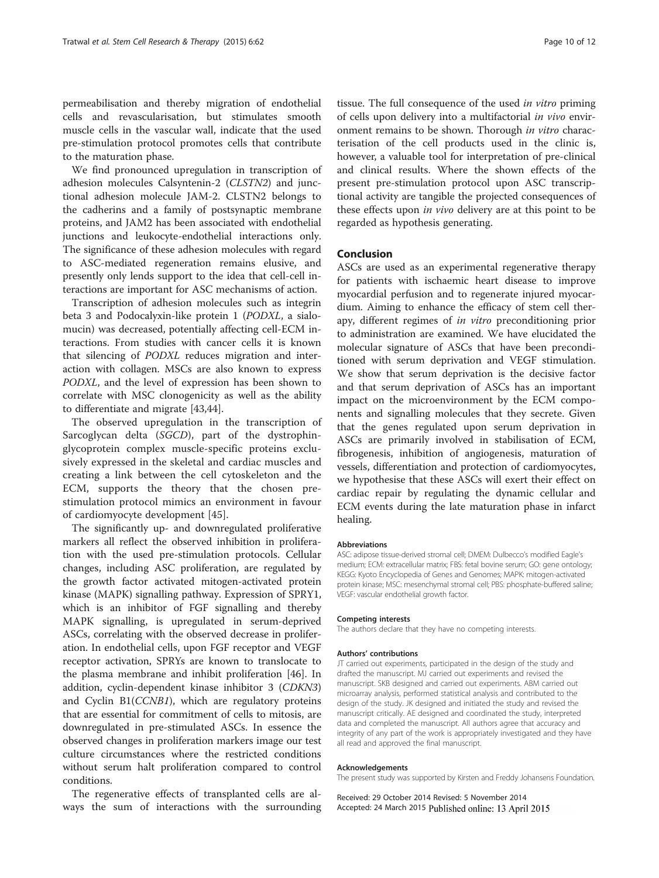permeabilisation and thereby migration of endothelial cells and revascularisation, but stimulates smooth muscle cells in the vascular wall, indicate that the used pre-stimulation protocol promotes cells that contribute to the maturation phase.

We find pronounced upregulation in transcription of adhesion molecules Calsyntenin-2 (CLSTN2) and junctional adhesion molecule JAM-2. CLSTN2 belongs to the cadherins and a family of postsynaptic membrane proteins, and JAM2 has been associated with endothelial junctions and leukocyte-endothelial interactions only. The significance of these adhesion molecules with regard to ASC-mediated regeneration remains elusive, and presently only lends support to the idea that cell-cell interactions are important for ASC mechanisms of action.

Transcription of adhesion molecules such as integrin beta 3 and Podocalyxin-like protein 1 (PODXL, a sialomucin) was decreased, potentially affecting cell-ECM interactions. From studies with cancer cells it is known that silencing of PODXL reduces migration and interaction with collagen. MSCs are also known to express PODXL, and the level of expression has been shown to correlate with MSC clonogenicity as well as the ability to differentiate and migrate [\[43,44\]](#page-10-0).

The observed upregulation in the transcription of Sarcoglycan delta (SGCD), part of the dystrophinglycoprotein complex muscle-specific proteins exclusively expressed in the skeletal and cardiac muscles and creating a link between the cell cytoskeleton and the ECM, supports the theory that the chosen prestimulation protocol mimics an environment in favour of cardiomyocyte development [\[45](#page-11-0)].

The significantly up- and downregulated proliferative markers all reflect the observed inhibition in proliferation with the used pre-stimulation protocols. Cellular changes, including ASC proliferation, are regulated by the growth factor activated mitogen-activated protein kinase (MAPK) signalling pathway. Expression of SPRY1, which is an inhibitor of FGF signalling and thereby MAPK signalling, is upregulated in serum-deprived ASCs, correlating with the observed decrease in proliferation. In endothelial cells, upon FGF receptor and VEGF receptor activation, SPRYs are known to translocate to the plasma membrane and inhibit proliferation [[46](#page-11-0)]. In addition, cyclin-dependent kinase inhibitor 3 (CDKN3) and Cyclin B1(CCNB1), which are regulatory proteins that are essential for commitment of cells to mitosis, are downregulated in pre-stimulated ASCs. In essence the observed changes in proliferation markers image our test culture circumstances where the restricted conditions without serum halt proliferation compared to control conditions.

The regenerative effects of transplanted cells are always the sum of interactions with the surrounding

tissue. The full consequence of the used *in vitro* priming of cells upon delivery into a multifactorial in vivo environment remains to be shown. Thorough in vitro characterisation of the cell products used in the clinic is, however, a valuable tool for interpretation of pre-clinical and clinical results. Where the shown effects of the present pre-stimulation protocol upon ASC transcriptional activity are tangible the projected consequences of

these effects upon *in vivo* delivery are at this point to be

regarded as hypothesis generating.

## Conclusion

ASCs are used as an experimental regenerative therapy for patients with ischaemic heart disease to improve myocardial perfusion and to regenerate injured myocardium. Aiming to enhance the efficacy of stem cell therapy, different regimes of *in vitro* preconditioning prior to administration are examined. We have elucidated the molecular signature of ASCs that have been preconditioned with serum deprivation and VEGF stimulation. We show that serum deprivation is the decisive factor and that serum deprivation of ASCs has an important impact on the microenvironment by the ECM components and signalling molecules that they secrete. Given that the genes regulated upon serum deprivation in ASCs are primarily involved in stabilisation of ECM, fibrogenesis, inhibition of angiogenesis, maturation of vessels, differentiation and protection of cardiomyocytes, we hypothesise that these ASCs will exert their effect on cardiac repair by regulating the dynamic cellular and ECM events during the late maturation phase in infarct healing.

## Abbreviations

ASC: adipose tissue-derived stromal cell; DMEM: Dulbecco's modified Eagle's medium; ECM: extracellular matrix; FBS: fetal bovine serum; GO: gene ontology; KEGG: Kyoto Encyclopedia of Genes and Genomes; MAPK: mitogen-activated protein kinase; MSC: mesenchymal stromal cell; PBS: phosphate-buffered saline; VEGF: vascular endothelial growth factor.

#### Competing interests

The authors declare that they have no competing interests.

### Authors' contributions

JT carried out experiments, participated in the design of the study and drafted the manuscript. MJ carried out experiments and revised the manuscript. SKB designed and carried out experiments. ABM carried out microarray analysis, performed statistical analysis and contributed to the design of the study. JK designed and initiated the study and revised the manuscript critically. AE designed and coordinated the study, interpreted data and completed the manuscript. All authors agree that accuracy and integrity of any part of the work is appropriately investigated and they have all read and approved the final manuscript.

#### Acknowledgements

The present study was supported by Kirsten and Freddy Johansens Foundation.

Received: 29 October 2014 Revised: 5 November 2014 Accepted: 24 March 2015 Published online: 13 April 2015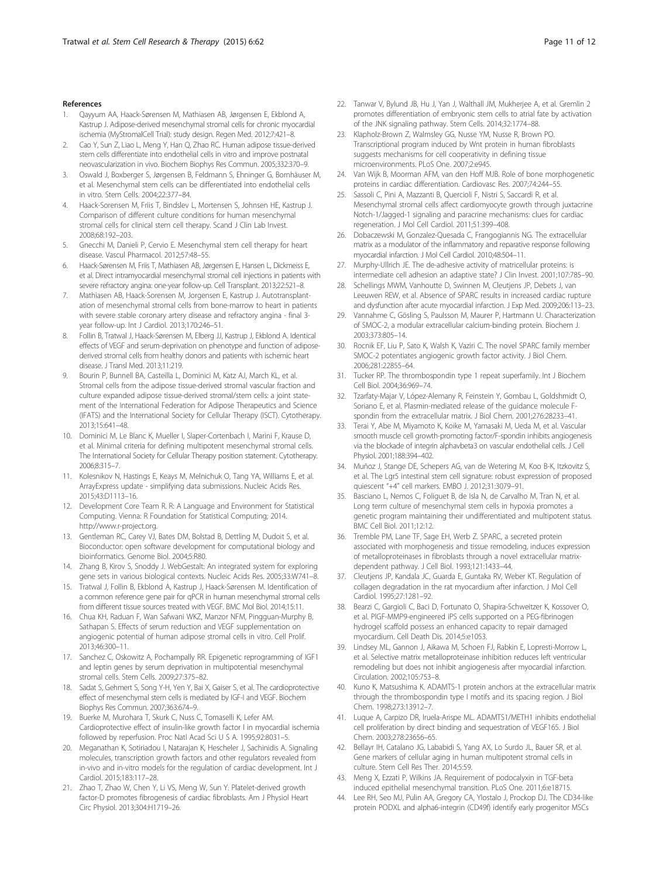## <span id="page-10-0"></span>References

- 1. Qayyum AA, Haack-Sørensen M, Mathiasen AB, Jørgensen E, Ekblond A, Kastrup J. Adipose-derived mesenchymal stromal cells for chronic myocardial ischemia (MyStromalCell Trial): study design. Regen Med. 2012;7:421–8.
- 2. Cao Y, Sun Z, Liao L, Meng Y, Han Q, Zhao RC. Human adipose tissue-derived stem cells differentiate into endothelial cells in vitro and improve postnatal neovascularization in vivo. Biochem Biophys Res Commun. 2005;332:370–9.
- 3. Oswald J, Boxberger S, Jørgensen B, Feldmann S, Ehninger G, Bornhäuser M, et al. Mesenchymal stem cells can be differentiated into endothelial cells in vitro. Stem Cells. 2004;22:377–84.
- 4. Haack-Sorensen M, Friis T, Bindslev L, Mortensen S, Johnsen HE, Kastrup J. Comparison of different culture conditions for human mesenchymal stromal cells for clinical stem cell therapy. Scand J Clin Lab Invest. 2008;68:192–203.
- 5. Gnecchi M, Danieli P, Cervio E. Mesenchymal stem cell therapy for heart disease. Vascul Pharmacol. 2012;57:48–55.
- 6. Haack-Sørensen M, Friis T, Mathiasen AB, Jørgensen E, Hansen L, Dickmeiss E, et al. Direct intramyocardial mesenchymal stromal cell injections in patients with severe refractory angina: one-year follow-up. Cell Transplant. 2013;22:521–8.
- 7. Mathiasen AB, Haack-Sorensen M, Jorgensen E, Kastrup J. Autotransplantation of mesenchymal stromal cells from bone-marrow to heart in patients with severe stable coronary artery disease and refractory angina - final 3 year follow-up. Int J Cardiol. 2013;170:246–51.
- 8. Follin B, Tratwal J, Haack-Sørensen M, Elberg JJ, Kastrup J, Ekblond A. Identical effects of VEGF and serum-deprivation on phenotype and function of adiposederived stromal cells from healthy donors and patients with ischemic heart disease. J Transl Med. 2013;11:219.
- 9. Bourin P, Bunnell BA, Casteilla L, Dominici M, Katz AJ, March KL, et al. Stromal cells from the adipose tissue-derived stromal vascular fraction and culture expanded adipose tissue-derived stromal/stem cells: a joint statement of the International Federation for Adipose Therapeutics and Science (IFATS) and the International Society for Cellular Therapy (ISCT). Cytotherapy. 2013;15:641–48.
- 10. Dominici M, Le Blanc K, Mueller I, Slaper-Cortenbach I, Marini F, Krause D, et al. Minimal criteria for defining multipotent mesenchymal stromal cells. The International Society for Cellular Therapy position statement. Cytotherapy. 2006;8:315–7.
- 11. Kolesnikov N, Hastings E, Keays M, Melnichuk O, Tang YA, Williams E, et al. ArrayExpress update - simplifying data submissions. Nucleic Acids Res. 2015;43:D1113–16.
- 12. Development Core Team R. R: A Language and Environment for Statistical Computing. Vienna: R Foundation for Statistical Computing; 2014. <http://www.r-project.org>.
- 13. Gentleman RC, Carey VJ, Bates DM, Bolstad B, Dettling M, Dudoit S, et al. Bioconductor: open software development for computational biology and bioinformatics. Genome Biol. 2004;5:R80.
- 14. Zhang B, Kirov S, Snoddy J. WebGestalt: An integrated system for exploring gene sets in various biological contexts. Nucleic Acids Res. 2005;33:W741–8.
- 15. Tratwal J, Follin B, Ekblond A, Kastrup J, Haack-Sørensen M. Identification of a common reference gene pair for qPCR in human mesenchymal stromal cells from different tissue sources treated with VEGF. BMC Mol Biol. 2014;15:11.
- 16. Chua KH, Raduan F, Wan Safwani WKZ, Manzor NFM, Pingguan-Murphy B, Sathapan S. Effects of serum reduction and VEGF supplementation on angiogenic potential of human adipose stromal cells in vitro. Cell Prolif. 2013;46:300–11.
- 17. Sanchez C, Oskowitz A, Pochampally RR. Epigenetic reprogramming of IGF1 and leptin genes by serum deprivation in multipotential mesenchymal stromal cells. Stem Cells. 2009;27:375–82.
- 18. Sadat S, Gehmert S, Song Y-H, Yen Y, Bai X, Gaiser S, et al. The cardioprotective effect of mesenchymal stem cells is mediated by IGF-I and VEGF. Biochem Biophys Res Commun. 2007;363:674–9.
- 19. Buerke M, Murohara T, Skurk C, Nuss C, Tomaselli K, Lefer AM. Cardioprotective effect of insulin-like growth factor I in myocardial ischemia followed by reperfusion. Proc Natl Acad Sci U S A. 1995;92:8031–5.
- 20. Meganathan K, Sotiriadou I, Natarajan K, Hescheler J, Sachinidis A. Signaling molecules, transcription growth factors and other regulators revealed from in-vivo and in-vitro models for the regulation of cardiac development. Int J Cardiol. 2015;183:117–28.
- 21. Zhao T, Zhao W, Chen Y, Li VS, Meng W, Sun Y. Platelet-derived growth factor-D promotes fibrogenesis of cardiac fibroblasts. Am J Physiol Heart Circ Physiol. 2013;304:H1719–26.
- 22. Tanwar V, Bylund JB, Hu J, Yan J, Walthall JM, Mukherjee A, et al. Gremlin 2 promotes differentiation of embryonic stem cells to atrial fate by activation of the JNK signaling pathway. Stem Cells. 2014;32:1774–88.
- 23. Klapholz-Brown Z, Walmsley GG, Nusse YM, Nusse R, Brown PO. Transcriptional program induced by Wnt protein in human fibroblasts suggests mechanisms for cell cooperativity in defining tissue microenvironments. PLoS One. 2007;2:e945.
- 24. Van Wijk B, Moorman AFM, van den Hoff MJB. Role of bone morphogenetic proteins in cardiac differentiation. Cardiovasc Res. 2007;74:244–55.
- 25. Sassoli C, Pini A, Mazzanti B, Quercioli F, Nistri S, Saccardi R, et al. Mesenchymal stromal cells affect cardiomyocyte growth through juxtacrine Notch-1/Jagged-1 signaling and paracrine mechanisms: clues for cardiac regeneration. J Mol Cell Cardiol. 2011;51:399–408.
- 26. Dobaczewski M, Gonzalez-Quesada C, Frangogiannis NG. The extracellular matrix as a modulator of the inflammatory and reparative response following myocardial infarction. J Mol Cell Cardiol. 2010;48:504–11.
- 27. Murphy-Ullrich JE. The de-adhesive activity of matricellular proteins: is intermediate cell adhesion an adaptive state? J Clin Invest. 2001;107:785–90.
- 28. Schellings MWM, Vanhoutte D, Swinnen M, Cleutjens JP, Debets J, van Leeuwen REW, et al. Absence of SPARC results in increased cardiac rupture and dysfunction after acute myocardial infarction. J Exp Med. 2009;206:113–23.
- Vannahme C, Gösling S, Paulsson M, Maurer P, Hartmann U. Characterization of SMOC-2, a modular extracellular calcium-binding protein. Biochem J. 2003;373:805–14.
- 30. Rocnik EF, Liu P, Sato K, Walsh K, Vaziri C. The novel SPARC family member SMOC-2 potentiates angiogenic growth factor activity. J Biol Chem. 2006;281:22855–64.
- 31. Tucker RP. The thrombospondin type 1 repeat superfamily. Int J Biochem Cell Biol. 2004;36:969–74.
- 32. Tzarfaty-Majar V, López-Alemany R, Feinstein Y, Gombau L, Goldshmidt O, Soriano E, et al. Plasmin-mediated release of the guidance molecule Fspondin from the extracellular matrix. J Biol Chem. 2001;276:28233–41.
- 33. Terai Y, Abe M, Miyamoto K, Koike M, Yamasaki M, Ueda M, et al. Vascular smooth muscle cell growth-promoting factor/F-spondin inhibits angiogenesis via the blockade of integrin alphavbeta3 on vascular endothelial cells. J Cell Physiol. 2001;188:394–402.
- 34. Muñoz J, Stange DE, Schepers AG, van de Wetering M, Koo B-K, Itzkovitz S, et al. The Lgr5 intestinal stem cell signature: robust expression of proposed quiescent "+4" cell markers. EMBO J. 2012;31:3079–91.
- 35. Basciano L, Nemos C, Foliguet B, de Isla N, de Carvalho M, Tran N, et al. Long term culture of mesenchymal stem cells in hypoxia promotes a genetic program maintaining their undifferentiated and multipotent status. BMC Cell Biol. 2011;12:12.
- 36. Tremble PM, Lane TF, Sage EH, Werb Z. SPARC, a secreted protein associated with morphogenesis and tissue remodeling, induces expression of metalloproteinases in fibroblasts through a novel extracellular matrixdependent pathway. J Cell Biol. 1993;121:1433–44.
- 37. Cleutjens JP, Kandala JC, Guarda E, Guntaka RV, Weber KT. Regulation of collagen degradation in the rat myocardium after infarction. J Mol Cell Cardiol. 1995;27:1281–92.
- 38. Bearzi C, Gargioli C, Baci D, Fortunato O, Shapira-Schweitzer K, Kossover O, et al. PlGF-MMP9-engineered iPS cells supported on a PEG-fibrinogen hydrogel scaffold possess an enhanced capacity to repair damaged myocardium. Cell Death Dis. 2014;5:e1053.
- 39. Lindsey ML, Gannon J, Aikawa M, Schoen FJ, Rabkin E, Lopresti-Morrow L, et al. Selective matrix metalloproteinase inhibition reduces left ventricular remodeling but does not inhibit angiogenesis after myocardial infarction. Circulation. 2002;105:753–8.
- 40. Kuno K, Matsushima K. ADAMTS-1 protein anchors at the extracellular matrix through the thrombospondin type I motifs and its spacing region. J Biol Chem. 1998;273:13912–7.
- 41. Luque A, Carpizo DR, Iruela-Arispe ML. ADAMTS1/METH1 inhibits endothelial cell proliferation by direct binding and sequestration of VEGF165. J Biol Chem. 2003;278:23656–65.
- 42. Bellayr IH, Catalano JG, Lababidi S, Yang AX, Lo Surdo JL, Bauer SR, et al. Gene markers of cellular aging in human multipotent stromal cells in culture. Stem Cell Res Ther. 2014;5:59.
- 43. Meng X, Ezzati P, Wilkins JA. Requirement of podocalyxin in TGF-beta induced epithelial mesenchymal transition. PLoS One. 2011;6:e18715.
- 44. Lee RH, Seo MJ, Pulin AA, Gregory CA, Ylostalo J, Prockop DJ. The CD34-like protein PODXL and alpha6-integrin (CD49f) identify early progenitor MSCs